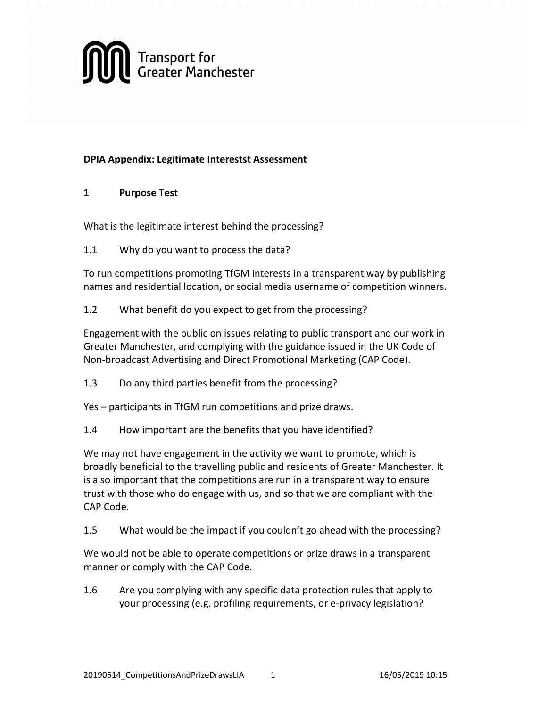

# DPIA Appendix: Legitimate Interestst Assessment

### 1 Purpose Test

What is the legitimate interest behind the processing?

1.1 Why do you want to process the data?

To run competitions promoting TfGM interests in a transparent way by publishing names and residential location, or social media username of competition winners.

1.2 What benefit do you expect to get from the processing?

Engagement with the public on issues relating to public transport and our work in Greater Manchester, and complying with the guidance issued in the UK Code of Non-broadcast Advertising and Direct Promotional Marketing (CAP Code).

1.3 Do any third parties benefit from the processing?

Yes – participants in TfGM run competitions and prize draws.

1.4 How important are the benefits that you have identified?

We may not have engagement in the activity we want to promote, which is broadly beneficial to the travelling public and residents of Greater Manchester. It is also important that the competitions are run in a transparent way to ensure trust with those who do engage with us, and so that we are compliant with the CAP Code.

1.5 What would be the impact if you couldn't go ahead with the processing?

We would not be able to operate competitions or prize draws in a transparent manner or comply with the CAP Code.

1.6 Are you complying with any specific data protection rules that apply to your processing (e.g. profiling requirements, or e-privacy legislation?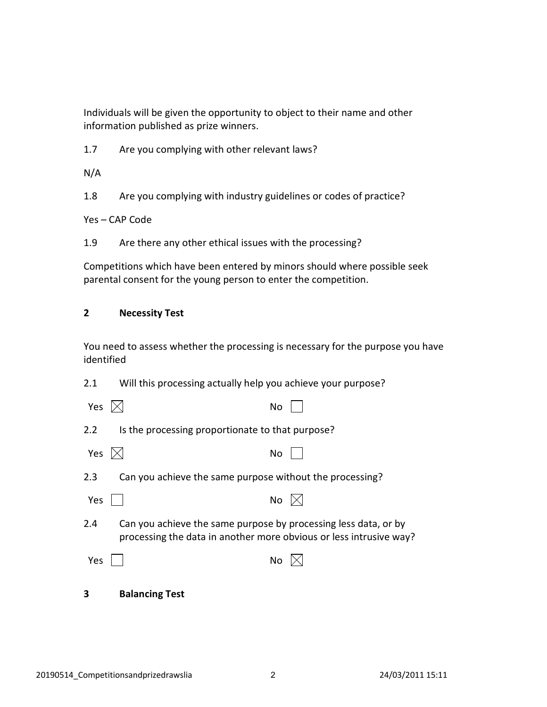Individuals will be given the opportunity to object to their name and other information published as prize winners.

1.7 Are you complying with other relevant laws?

N/A

1.8 Are you complying with industry guidelines or codes of practice?

Yes – CAP Code

1.9 Are there any other ethical issues with the processing?

Competitions which have been entered by minors should where possible seek parental consent for the young person to enter the competition.

## 2 Necessity Test

You need to assess whether the processing is necessary for the purpose you have identified

| 2.1              | Will this processing actually help you achieve your purpose?                                                                          |
|------------------|---------------------------------------------------------------------------------------------------------------------------------------|
| Yes              | No                                                                                                                                    |
| 2.2              | Is the processing proportionate to that purpose?                                                                                      |
| Yes $\mathbb{X}$ | No                                                                                                                                    |
| 2.3              | Can you achieve the same purpose without the processing?                                                                              |
| Yes              | <b>No</b>                                                                                                                             |
| 2.4              | Can you achieve the same purpose by processing less data, or by<br>processing the data in another more obvious or less intrusive way? |
| Yes              | No                                                                                                                                    |
| з                | <b>Balancing Test</b>                                                                                                                 |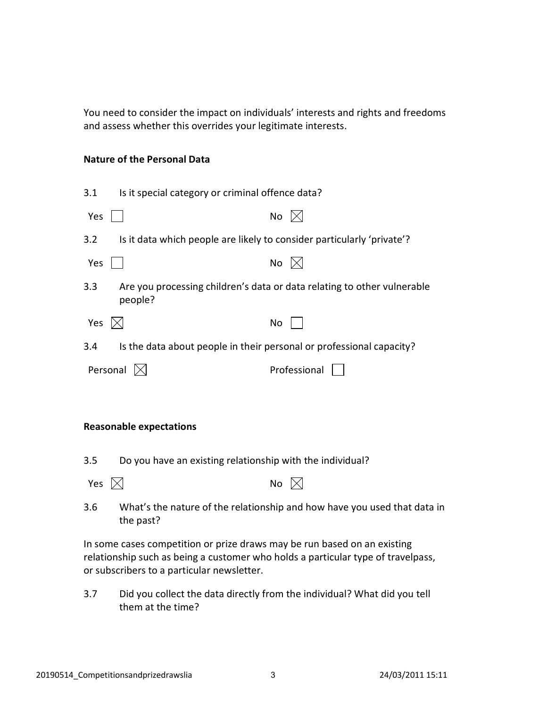You need to consider the impact on individuals' interests and rights and freedoms and assess whether this overrides your legitimate interests.

#### Nature of the Personal Data

| 3.1                   | Is it special category or criminal offence data?                       |                                                                         |
|-----------------------|------------------------------------------------------------------------|-------------------------------------------------------------------------|
| Yes                   |                                                                        | No                                                                      |
| 3.2                   | Is it data which people are likely to consider particularly 'private'? |                                                                         |
| Yes                   |                                                                        | No                                                                      |
| 3.3                   | people?                                                                | Are you processing children's data or data relating to other vulnerable |
| Yes $\mathbb{\times}$ |                                                                        | No                                                                      |
| 3.4                   |                                                                        | Is the data about people in their personal or professional capacity?    |
| Personal              |                                                                        | Professional                                                            |

#### Reasonable expectations

3.5 Do you have an existing relationship with the individual?

| Yes $\boxtimes$ |  | No $\boxtimes$ |  |
|-----------------|--|----------------|--|
|-----------------|--|----------------|--|

3.6 What's the nature of the relationship and how have you used that data in the past?

In some cases competition or prize draws may be run based on an existing relationship such as being a customer who holds a particular type of travelpass, or subscribers to a particular newsletter.

3.7 Did you collect the data directly from the individual? What did you tell them at the time?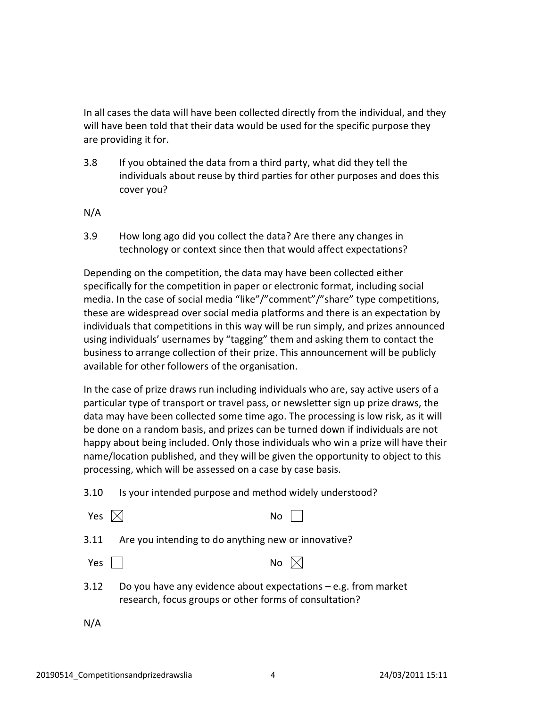In all cases the data will have been collected directly from the individual, and they will have been told that their data would be used for the specific purpose they are providing it for.

3.8 If you obtained the data from a third party, what did they tell the individuals about reuse by third parties for other purposes and does this cover you?

N/A

3.9 How long ago did you collect the data? Are there any changes in technology or context since then that would affect expectations?

Depending on the competition, the data may have been collected either specifically for the competition in paper or electronic format, including social media. In the case of social media "like"/"comment"/"share" type competitions, these are widespread over social media platforms and there is an expectation by individuals that competitions in this way will be run simply, and prizes announced using individuals' usernames by "tagging" them and asking them to contact the business to arrange collection of their prize. This announcement will be publicly available for other followers of the organisation.

In the case of prize draws run including individuals who are, say active users of a particular type of transport or travel pass, or newsletter sign up prize draws, the data may have been collected some time ago. The processing is low risk, as it will be done on a random basis, and prizes can be turned down if individuals are not happy about being included. Only those individuals who win a prize will have their name/location published, and they will be given the opportunity to object to this processing, which will be assessed on a case by case basis.

| 3.10 | Is your intended purpose and method widely understood? |
|------|--------------------------------------------------------|
|      |                                                        |

| Yes $ \times $ |                                                                                                                           | No l |                 |
|----------------|---------------------------------------------------------------------------------------------------------------------------|------|-----------------|
| 3.11           | Are you intending to do anything new or innovative?                                                                       |      |                 |
| Yes            |                                                                                                                           |      | No $\mathbb{X}$ |
| 3.12           | Do you have any evidence about expectations $-e.g.$ from market<br>research, focus groups or other forms of consultation? |      |                 |

N/A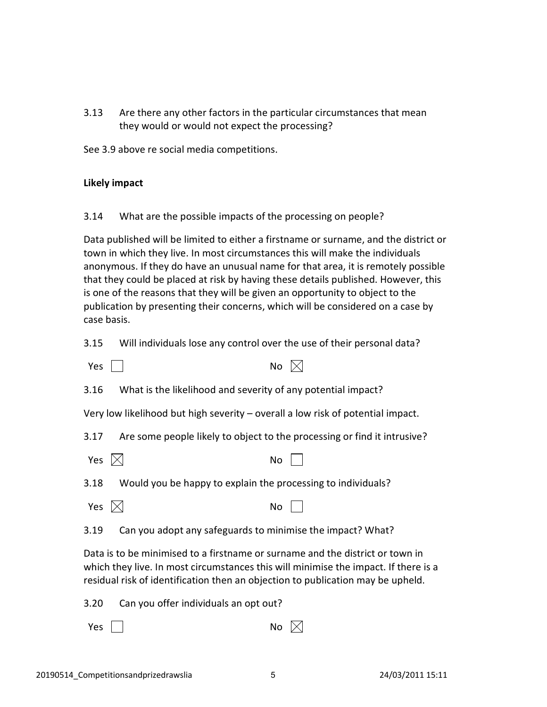3.13 Are there any other factors in the particular circumstances that mean they would or would not expect the processing?

See 3.9 above re social media competitions.

#### Likely impact

3.14 What are the possible impacts of the processing on people?

Data published will be limited to either a firstname or surname, and the district or town in which they live. In most circumstances this will make the individuals anonymous. If they do have an unusual name for that area, it is remotely possible that they could be placed at risk by having these details published. However, this is one of the reasons that they will be given an opportunity to object to the publication by presenting their concerns, which will be considered on a case by case basis.

3.15 Will individuals lose any control over the use of their personal data?

| Yes                                                                                                                                                                                                                                                     | No                                                                              |  |
|---------------------------------------------------------------------------------------------------------------------------------------------------------------------------------------------------------------------------------------------------------|---------------------------------------------------------------------------------|--|
| 3.16                                                                                                                                                                                                                                                    | What is the likelihood and severity of any potential impact?                    |  |
|                                                                                                                                                                                                                                                         | Very low likelihood but high severity – overall a low risk of potential impact. |  |
| 3.17                                                                                                                                                                                                                                                    | Are some people likely to object to the processing or find it intrusive?        |  |
| Yes                                                                                                                                                                                                                                                     | No                                                                              |  |
| 3.18                                                                                                                                                                                                                                                    | Would you be happy to explain the processing to individuals?                    |  |
| Yes                                                                                                                                                                                                                                                     | No                                                                              |  |
| 3.19                                                                                                                                                                                                                                                    | Can you adopt any safeguards to minimise the impact? What?                      |  |
| Data is to be minimised to a firstname or surname and the district or town in<br>which they live. In most circumstances this will minimise the impact. If there is a<br>residual risk of identification then an objection to publication may be upheld. |                                                                                 |  |
| 3.20                                                                                                                                                                                                                                                    | Can you offer individuals an opt out?                                           |  |
| Yes                                                                                                                                                                                                                                                     | No                                                                              |  |